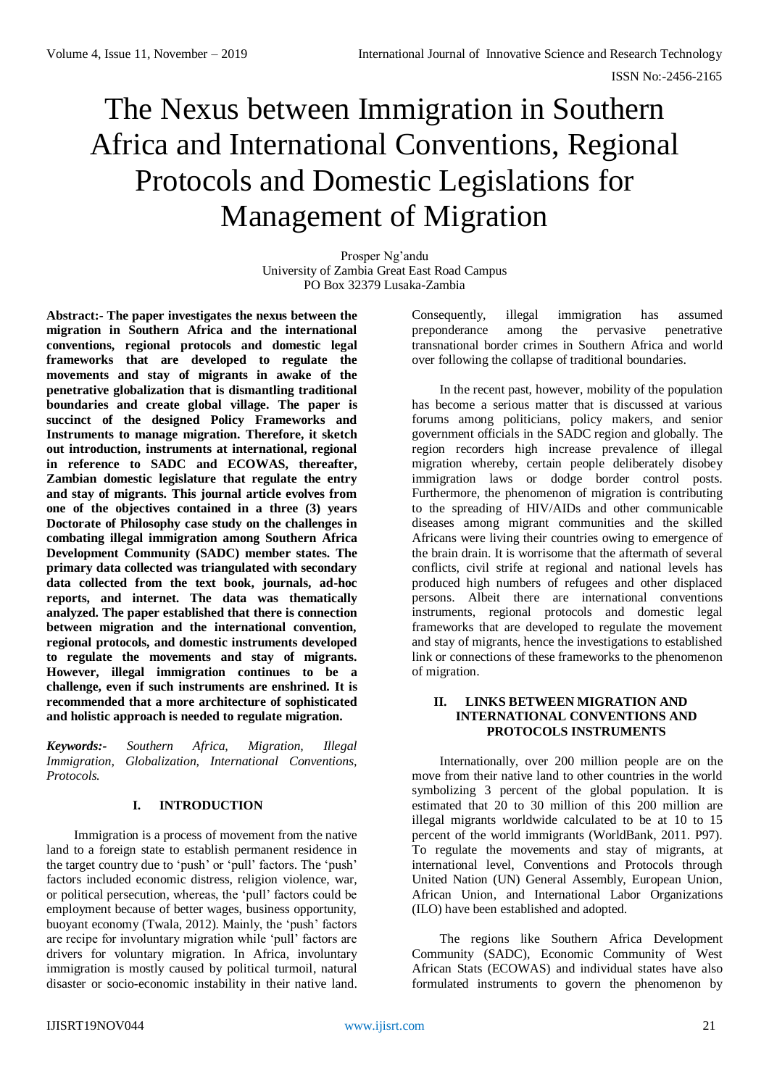# The Nexus between Immigration in Southern Africa and International Conventions, Regional Protocols and Domestic Legislations for Management of Migration

Prosper Ng'andu University of Zambia Great East Road Campus PO Box 32379 Lusaka-Zambia

**Abstract:- The paper investigates the nexus between the migration in Southern Africa and the international conventions, regional protocols and domestic legal frameworks that are developed to regulate the movements and stay of migrants in awake of the penetrative globalization that is dismantling traditional boundaries and create global village. The paper is succinct of the designed Policy Frameworks and Instruments to manage migration. Therefore, it sketch out introduction, instruments at international, regional in reference to SADC and ECOWAS, thereafter, Zambian domestic legislature that regulate the entry and stay of migrants. This journal article evolves from one of the objectives contained in a three (3) years Doctorate of Philosophy case study on the challenges in combating illegal immigration among Southern Africa Development Community (SADC) member states. The primary data collected was triangulated with secondary data collected from the text book, journals, ad-hoc reports, and internet. The data was thematically analyzed. The paper established that there is connection between migration and the international convention, regional protocols, and domestic instruments developed to regulate the movements and stay of migrants. However, illegal immigration continues to be a challenge, even if such instruments are enshrined. It is recommended that a more architecture of sophisticated and holistic approach is needed to regulate migration.** 

*Keywords:- Southern Africa, Migration, Illegal Immigration, Globalization, International Conventions, Protocols.*

## **I. INTRODUCTION**

Immigration is a process of movement from the native land to a foreign state to establish permanent residence in the target country due to 'push' or 'pull' factors. The 'push' factors included economic distress, religion violence, war, or political persecution, whereas, the 'pull' factors could be employment because of better wages, business opportunity, buoyant economy (Twala, 2012). Mainly, the 'push' factors are recipe for involuntary migration while 'pull' factors are drivers for voluntary migration. In Africa, involuntary immigration is mostly caused by political turmoil, natural disaster or socio-economic instability in their native land.

Consequently, illegal immigration has assumed preponderance among the pervasive penetrative transnational border crimes in Southern Africa and world over following the collapse of traditional boundaries.

In the recent past, however, mobility of the population has become a serious matter that is discussed at various forums among politicians, policy makers, and senior government officials in the SADC region and globally. The region recorders high increase prevalence of illegal migration whereby, certain people deliberately disobey immigration laws or dodge border control posts. Furthermore, the phenomenon of migration is contributing to the spreading of HIV/AIDs and other communicable diseases among migrant communities and the skilled Africans were living their countries owing to emergence of the brain drain. It is worrisome that the aftermath of several conflicts, civil strife at regional and national levels has produced high numbers of refugees and other displaced persons. Albeit there are international conventions instruments, regional protocols and domestic legal frameworks that are developed to regulate the movement and stay of migrants, hence the investigations to established link or connections of these frameworks to the phenomenon of migration.

## **II. LINKS BETWEEN MIGRATION AND INTERNATIONAL CONVENTIONS AND PROTOCOLS INSTRUMENTS**

Internationally, over 200 million people are on the move from their native land to other countries in the world symbolizing 3 percent of the global population. It is estimated that 20 to 30 million of this 200 million are illegal migrants worldwide calculated to be at 10 to 15 percent of the world immigrants (WorldBank, 2011. P97). To regulate the movements and stay of migrants, at international level, Conventions and Protocols through United Nation (UN) General Assembly, European Union, African Union, and International Labor Organizations (ILO) have been established and adopted.

The regions like Southern Africa Development Community (SADC), Economic Community of West African Stats (ECOWAS) and individual states have also formulated instruments to govern the phenomenon by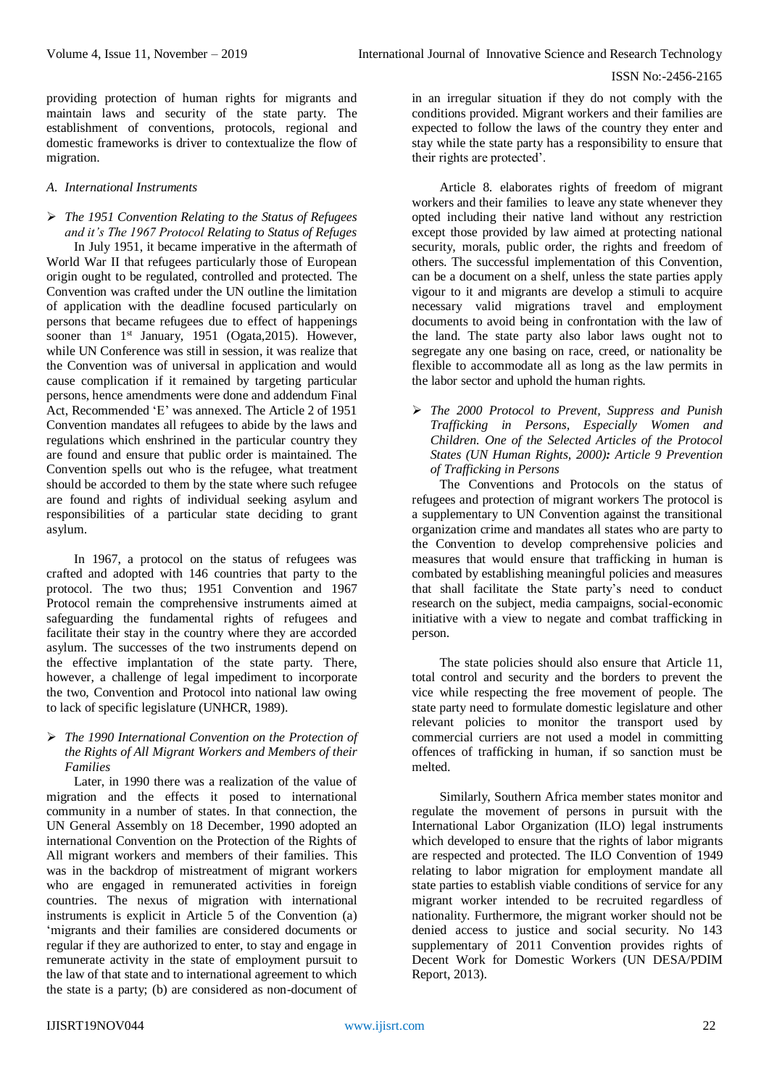providing protection of human rights for migrants and maintain laws and security of the state party. The establishment of conventions, protocols, regional and domestic frameworks is driver to contextualize the flow of migration.

### *A. International Instruments*

 *The 1951 Convention Relating to the Status of Refugees and it's The 1967 Protocol Relating to Status of Refuges*  In July 1951, it became imperative in the aftermath of World War II that refugees particularly those of European origin ought to be regulated, controlled and protected. The Convention was crafted under the UN outline the limitation of application with the deadline focused particularly on persons that became refugees due to effect of happenings sooner than 1<sup>st</sup> January, 1951 (Ogata, 2015). However, while UN Conference was still in session, it was realize that the Convention was of universal in application and would cause complication if it remained by targeting particular persons, hence amendments were done and addendum Final Act, Recommended 'E' was annexed. The Article 2 of 1951 Convention mandates all refugees to abide by the laws and regulations which enshrined in the particular country they are found and ensure that public order is maintained. The Convention spells out who is the refugee, what treatment should be accorded to them by the state where such refugee are found and rights of individual seeking asylum and responsibilities of a particular state deciding to grant asylum.

In 1967, a protocol on the status of refugees was crafted and adopted with 146 countries that party to the protocol. The two thus; 1951 Convention and 1967 Protocol remain the comprehensive instruments aimed at safeguarding the fundamental rights of refugees and facilitate their stay in the country where they are accorded asylum. The successes of the two instruments depend on the effective implantation of the state party. There, however, a challenge of legal impediment to incorporate the two, Convention and Protocol into national law owing to lack of specific legislature (UNHCR, 1989).

## *The 1990 International Convention on the Protection of the Rights of All Migrant Workers and Members of their Families*

Later, in 1990 there was a realization of the value of migration and the effects it posed to international community in a number of states. In that connection, the UN General Assembly on 18 December, 1990 adopted an international Convention on the Protection of the Rights of All migrant workers and members of their families. This was in the backdrop of mistreatment of migrant workers who are engaged in remunerated activities in foreign countries. The nexus of migration with international instruments is explicit in Article 5 of the Convention (a) 'migrants and their families are considered documents or regular if they are authorized to enter, to stay and engage in remunerate activity in the state of employment pursuit to the law of that state and to international agreement to which the state is a party; (b) are considered as non-document of

in an irregular situation if they do not comply with the conditions provided. Migrant workers and their families are expected to follow the laws of the country they enter and stay while the state party has a responsibility to ensure that their rights are protected'.

Article 8. elaborates rights of freedom of migrant workers and their families to leave any state whenever they opted including their native land without any restriction except those provided by law aimed at protecting national security, morals, public order, the rights and freedom of others. The successful implementation of this Convention, can be a document on a shelf, unless the state parties apply vigour to it and migrants are develop a stimuli to acquire necessary valid migrations travel and employment documents to avoid being in confrontation with the law of the land. The state party also labor laws ought not to segregate any one basing on race, creed, or nationality be flexible to accommodate all as long as the law permits in the labor sector and uphold the human rights.

 *The 2000 Protocol to Prevent, Suppress and Punish Trafficking in Persons, Especially Women and Children. One of the Selected Articles of the Protocol States (UN Human Rights, 2000): Article 9 Prevention of Trafficking in Persons*

The Conventions and Protocols on the status of refugees and protection of migrant workers The protocol is a supplementary to UN Convention against the transitional organization crime and mandates all states who are party to the Convention to develop comprehensive policies and measures that would ensure that trafficking in human is combated by establishing meaningful policies and measures that shall facilitate the State party's need to conduct research on the subject, media campaigns, social-economic initiative with a view to negate and combat trafficking in person.

The state policies should also ensure that Article 11, total control and security and the borders to prevent the vice while respecting the free movement of people. The state party need to formulate domestic legislature and other relevant policies to monitor the transport used by commercial curriers are not used a model in committing offences of trafficking in human, if so sanction must be melted.

Similarly, Southern Africa member states monitor and regulate the movement of persons in pursuit with the International Labor Organization (ILO) legal instruments which developed to ensure that the rights of labor migrants are respected and protected. The ILO Convention of 1949 relating to labor migration for employment mandate all state parties to establish viable conditions of service for any migrant worker intended to be recruited regardless of nationality. Furthermore, the migrant worker should not be denied access to justice and social security. No 143 supplementary of 2011 Convention provides rights of Decent Work for Domestic Workers (UN DESA/PDIM Report, 2013).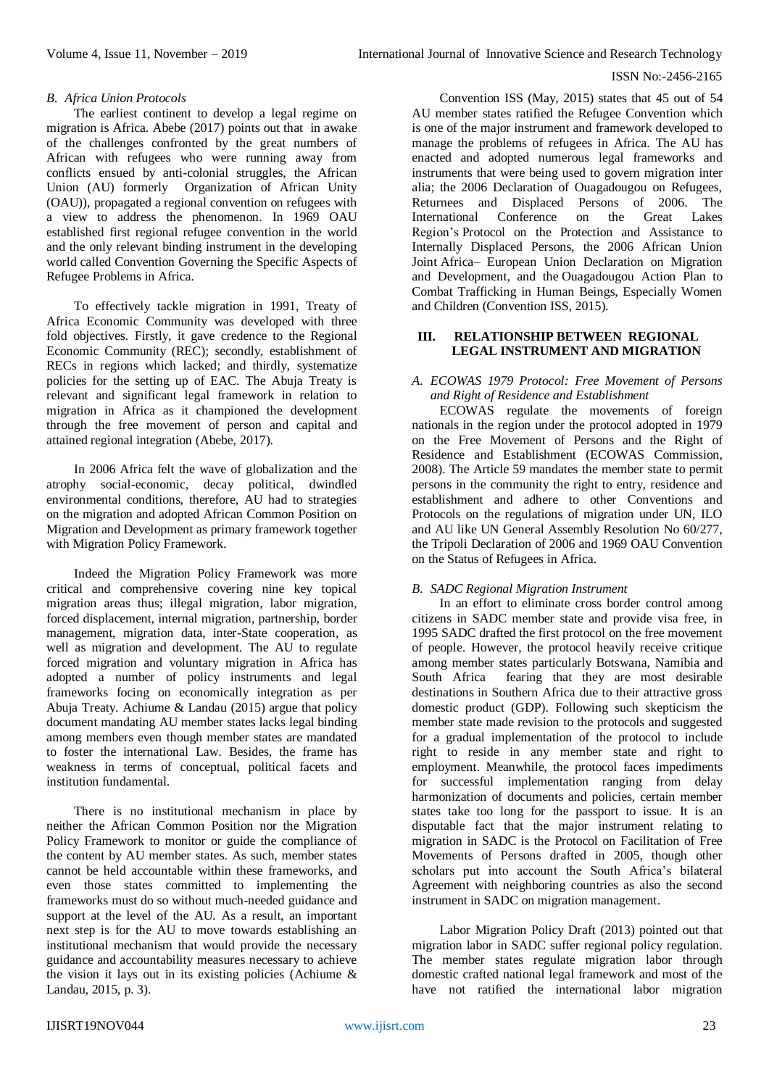#### ISSN No:-2456-2165

### *B. Africa Union Protocols*

The earliest continent to develop a legal regime on migration is Africa. Abebe (2017) points out that in awake of the challenges confronted by the great numbers of African with refugees who were running away from conflicts ensued by anti-colonial struggles, the African Union (AU) formerly Organization of African Unity (OAU)), propagated a regional convention on refugees with a view to address the phenomenon. In 1969 OAU established first regional refugee convention in the world and the only relevant binding instrument in the developing world called Convention Governing the Specific Aspects of Refugee Problems in Africa.

To effectively tackle migration in 1991, Treaty of Africa Economic Community was developed with three fold objectives. Firstly, it gave credence to the Regional Economic Community (REC); secondly, establishment of RECs in regions which lacked; and thirdly, systematize policies for the setting up of EAC. The Abuja Treaty is relevant and significant legal framework in relation to migration in Africa as it championed the development through the free movement of person and capital and attained regional integration (Abebe, 2017).

In 2006 Africa felt the wave of globalization and the atrophy social-economic, decay political, dwindled environmental conditions, therefore, AU had to strategies on the migration and adopted African Common Position on Migration and Development as primary framework together with Migration Policy Framework.

Indeed the Migration Policy Framework was more critical and comprehensive covering nine key topical migration areas thus; illegal migration, labor migration, forced displacement, internal migration, partnership, border management, migration data, inter-State cooperation, as well as migration and development. The AU to regulate forced migration and voluntary migration in Africa has adopted a number of policy instruments and legal frameworks focing on economically integration as per Abuja Treaty. Achiume & Landau (2015) argue that policy document mandating AU member states lacks legal binding among members even though member states are mandated to foster the international Law. Besides, the frame has weakness in terms of conceptual, political facets and institution fundamental.

There is no institutional mechanism in place by neither the African Common Position nor the Migration Policy Framework to monitor or guide the compliance of the content by AU member states. As such, member states cannot be held accountable within these frameworks, and even those states committed to implementing the frameworks must do so without much-needed guidance and support at the level of the AU. As a result, an important next step is for the AU to move towards establishing an institutional mechanism that would provide the necessary guidance and accountability measures necessary to achieve the vision it lays out in its existing policies (Achiume & Landau, 2015, p. 3).

Convention ISS (May, 2015) states that 45 out of 54 AU member states ratified the Refugee Convention which is one of the major instrument and framework developed to manage the problems of refugees in Africa. The AU has enacted and adopted numerous legal frameworks and instruments that were being used to govern migration inter alia; the 2006 Declaration of Ouagadougou on Refugees, Returnees and Displaced Persons of 2006. The International Conference on the Great Lakes Region's Protocol on the Protection and Assistance to Internally Displaced Persons, the 2006 African Union Joint Africa– European Union Declaration on Migration and Development, and the Ouagadougou Action Plan to Combat Trafficking in Human Beings, Especially Women and Children (Convention ISS, 2015).

#### **III. RELATIONSHIP BETWEEN REGIONAL LEGAL INSTRUMENT AND MIGRATION**

## *A. ECOWAS 1979 Protocol: Free Movement of Persons and Right of Residence and Establishment*

ECOWAS regulate the movements of foreign nationals in the region under the protocol adopted in 1979 on the Free Movement of Persons and the Right of Residence and Establishment (ECOWAS Commission, 2008). The Article 59 mandates the member state to permit persons in the community the right to entry, residence and establishment and adhere to other Conventions and Protocols on the regulations of migration under UN, ILO and AU like UN General Assembly Resolution No 60/277, the Tripoli Declaration of 2006 and 1969 OAU Convention on the Status of Refugees in Africa.

## *B. SADC Regional Migration Instrument*

In an effort to eliminate cross border control among citizens in SADC member state and provide visa free, in 1995 SADC drafted the first protocol on the free movement of people. However, the protocol heavily receive critique among member states particularly Botswana, Namibia and South Africa fearing that they are most desirable destinations in Southern Africa due to their attractive gross domestic product (GDP). Following such skepticism the member state made revision to the protocols and suggested for a gradual implementation of the protocol to include right to reside in any member state and right to employment. Meanwhile, the protocol faces impediments for successful implementation ranging from delay harmonization of documents and policies, certain member states take too long for the passport to issue. It is an disputable fact that the major instrument relating to migration in SADC is the Protocol on Facilitation of Free Movements of Persons drafted in 2005, though other scholars put into account the South Africa's bilateral Agreement with neighboring countries as also the second instrument in SADC on migration management.

Labor Migration Policy Draft (2013) pointed out that migration labor in SADC suffer regional policy regulation. The member states regulate migration labor through domestic crafted national legal framework and most of the have not ratified the international labor migration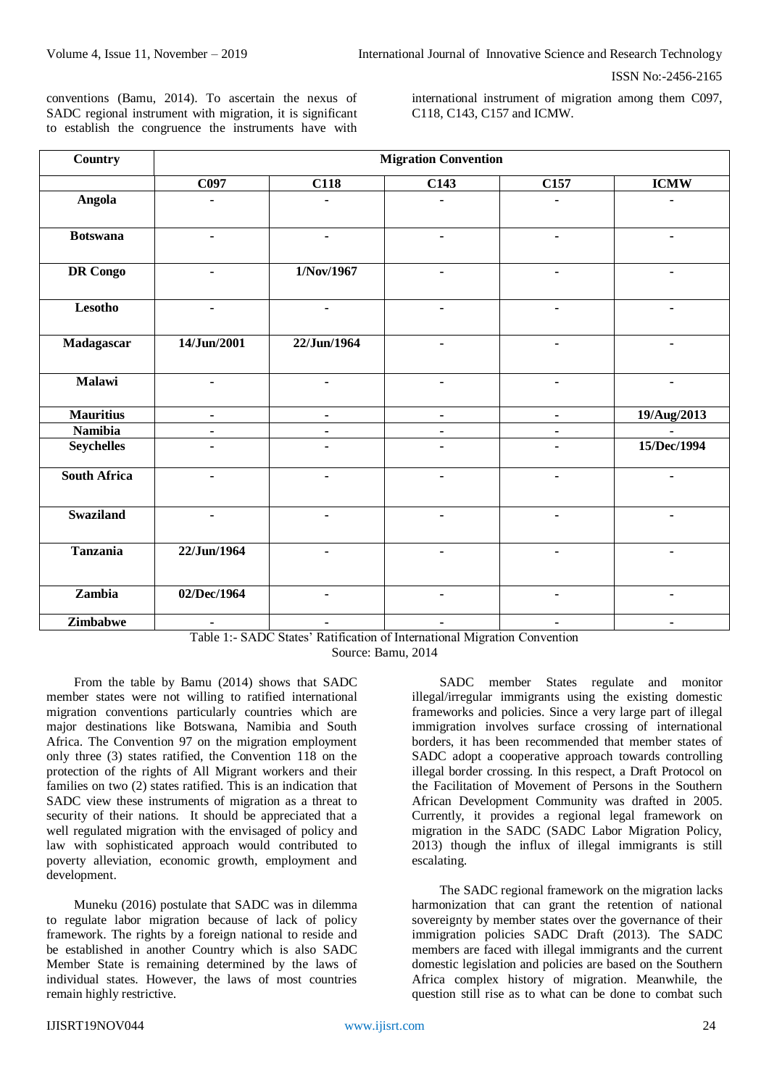ISSN No:-2456-2165

conventions (Bamu, 2014). To ascertain the nexus of SADC regional instrument with migration, it is significant to establish the congruence the instruments have with

international instrument of migration among them C097, C118, C143, C157 and ICMW.

| Country             | <b>Migration Convention</b> |                |                |                |                |
|---------------------|-----------------------------|----------------|----------------|----------------|----------------|
|                     | C097                        | <b>C118</b>    | C143           | C157           | <b>ICMW</b>    |
| Angola              | $\blacksquare$              | $\blacksquare$ |                | $\blacksquare$ | $\blacksquare$ |
| <b>Botswana</b>     | $\blacksquare$              | $\blacksquare$ |                | $\blacksquare$ | ٠              |
| <b>DR</b> Congo     | $\blacksquare$              | 1/Nov/1967     | $\blacksquare$ | $\blacksquare$ |                |
| Lesotho             | $\blacksquare$              | $\blacksquare$ | $\blacksquare$ | $\blacksquare$ | $\blacksquare$ |
| Madagascar          | 14/Jun/2001                 | 22/Jun/1964    | $\blacksquare$ | $\blacksquare$ | ٠              |
| Malawi              | $\blacksquare$              | $\blacksquare$ | $\blacksquare$ | $\blacksquare$ | ٠              |
| <b>Mauritius</b>    | ۰                           | ٠              | $\blacksquare$ | $\blacksquare$ | 19/Aug/2013    |
| <b>Namibia</b>      | $\blacksquare$              | $\blacksquare$ | $\blacksquare$ | $\blacksquare$ |                |
| <b>Seychelles</b>   | $\blacksquare$              | $\blacksquare$ |                | $\blacksquare$ | 15/Dec/1994    |
| <b>South Africa</b> |                             |                |                |                |                |
| <b>Swaziland</b>    | $\blacksquare$              |                |                |                |                |
| Tanzania            | 22/Jun/1964                 | $\blacksquare$ | $\blacksquare$ | $\blacksquare$ | $\blacksquare$ |
| Zambia              | 02/Dec/1964                 | $\blacksquare$ |                | $\blacksquare$ | $\blacksquare$ |
| Zimbabwe            | $\blacksquare$              | $\blacksquare$ | $\blacksquare$ | ۰              | ۰              |

Table 1:- SADC States' Ratification of International Migration Convention Source: Bamu, 2014

From the table by Bamu (2014) shows that SADC member states were not willing to ratified international migration conventions particularly countries which are major destinations like Botswana, Namibia and South Africa. The Convention 97 on the migration employment only three (3) states ratified, the Convention 118 on the protection of the rights of All Migrant workers and their families on two (2) states ratified. This is an indication that SADC view these instruments of migration as a threat to security of their nations. It should be appreciated that a well regulated migration with the envisaged of policy and law with sophisticated approach would contributed to poverty alleviation, economic growth, employment and development.

Muneku (2016) postulate that SADC was in dilemma to regulate labor migration because of lack of policy framework. The rights by a foreign national to reside and be established in another Country which is also SADC Member State is remaining determined by the laws of individual states. However, the laws of most countries remain highly restrictive.

SADC member States regulate and monitor illegal/irregular immigrants using the existing domestic frameworks and policies. Since a very large part of illegal immigration involves surface crossing of international borders, it has been recommended that member states of SADC adopt a cooperative approach towards controlling illegal border crossing. In this respect, a Draft Protocol on the Facilitation of Movement of Persons in the Southern African Development Community was drafted in 2005. Currently, it provides a regional legal framework on migration in the SADC (SADC Labor Migration Policy, 2013) though the influx of illegal immigrants is still escalating.

The SADC regional framework on the migration lacks harmonization that can grant the retention of national sovereignty by member states over the governance of their immigration policies SADC Draft (2013). The SADC members are faced with illegal immigrants and the current domestic legislation and policies are based on the Southern Africa complex history of migration. Meanwhile, the question still rise as to what can be done to combat such